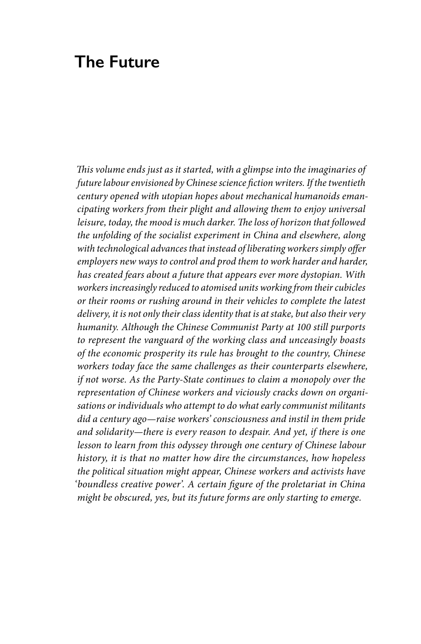## **The Future**

*This volume ends just as it started, with a glimpse into the imaginaries of future labour envisioned by Chinese science fiction writers. If the twentieth century opened with utopian hopes about mechanical humanoids emancipating workers from their plight and allowing them to enjoy universal leisure, today, the mood is much darker. The loss of horizon that followed the unfolding of the socialist experiment in China and elsewhere, along with technological advances that instead of liberating workers simply offer employers new ways to control and prod them to work harder and harder, has created fears about a future that appears ever more dystopian. With workers increasingly reduced to atomised units working from their cubicles or their rooms or rushing around in their vehicles to complete the latest delivery, it is not only their class identity that is at stake, but also their very humanity. Although the Chinese Communist Party at 100 still purports to represent the vanguard of the working class and unceasingly boasts of the economic prosperity its rule has brought to the country, Chinese workers today face the same challenges as their counterparts elsewhere, if not worse. As the Party-State continues to claim a monopoly over the representation of Chinese workers and viciously cracks down on organisations or individuals who attempt to do what early communist militants did a century ago—raise workers' consciousness and instil in them pride and solidarity—there is every reason to despair. And yet, if there is one lesson to learn from this odyssey through one century of Chinese labour history, it is that no matter how dire the circumstances, how hopeless the political situation might appear, Chinese workers and activists have 'boundless creative power'. A certain figure of the proletariat in China might be obscured, yes, but its future forms are only starting to emerge.*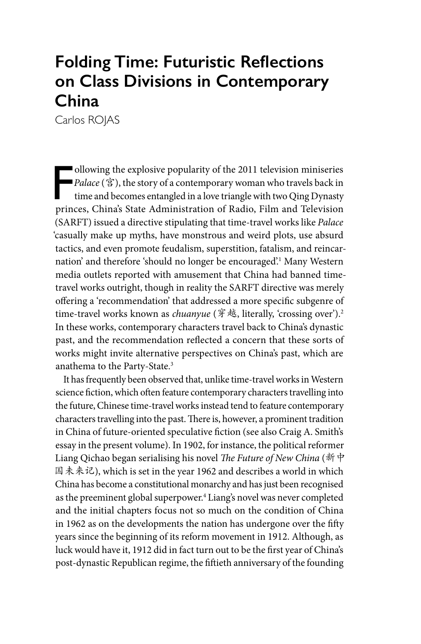# **Folding Time: Futuristic Reflections on Class Divisions in Contemporary China**

Carlos ROJAS

ollowing the explosive popularity of the 2011 television miniseries Palace ( $\hat{\mathbf{g}}$ ), the story of a contemporary woman who travels back in time and becomes entangled in a love triangle with two Qing Dynasty princes, C ollowing the explosive popularity of the 2011 television miniseries ■*Palace* (宮), the story of a contemporary woman who travels back in time and becomes entangled in a love triangle with two Qing Dynasty (SARFT) issued a directive stipulating that time-travel works like *Palace* 'casually make up myths, have monstrous and weird plots, use absurd tactics, and even promote feudalism, superstition, fatalism, and reincarnation' and therefore 'should no longer be encouraged'.1 Many Western media outlets reported with amusement that China had banned timetravel works outright, though in reality the SARFT directive was merely offering a 'recommendation' that addressed a more specific subgenre of time-travel works known as *chuanyue* (穿越, literally, 'crossing over').<sup>2</sup> In these works, contemporary characters travel back to China's dynastic past, and the recommendation reflected a concern that these sorts of works might invite alternative perspectives on China's past, which are anathema to the Party-State.3

It has frequently been observed that, unlike time-travel works in Western science fiction, which often feature contemporary characters travelling into the future, Chinese time-travel works instead tend to feature contemporary characters travelling into the past. There is, however, a prominent tradition in China of future-oriented speculative fiction (see also Craig A. Smith's essay in the present volume). In 1902, for instance, the political reformer Liang Qichao began serialising his novel *The Future of New China* (新中 国未来记), which is set in the year 1962 and describes a world in which China has become a constitutional monarchy and has just been recognised as the preeminent global superpower.<sup>4</sup> Liang's novel was never completed and the initial chapters focus not so much on the condition of China in 1962 as on the developments the nation has undergone over the fifty years since the beginning of its reform movement in 1912. Although, as luck would have it, 1912 did in fact turn out to be the first year of China's post-dynastic Republican regime, the fiftieth anniversary of the founding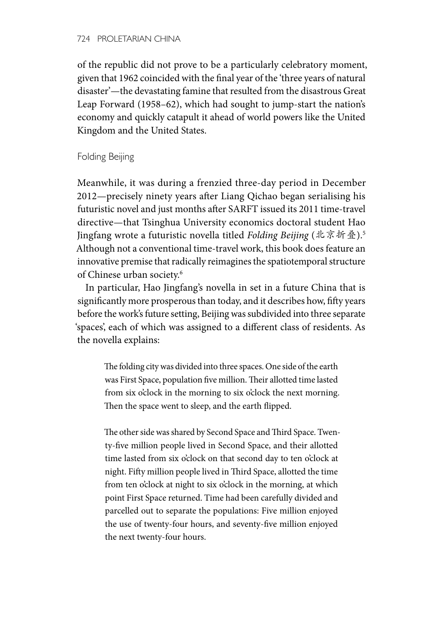of the republic did not prove to be a particularly celebratory moment, given that 1962 coincided with the final year of the 'three years of natural disaster'—the devastating famine that resulted from the disastrous Great Leap Forward (1958–62), which had sought to jump-start the nation's economy and quickly catapult it ahead of world powers like the United Kingdom and the United States.

Folding Beijing

Meanwhile, it was during a frenzied three-day period in December 2012—precisely ninety years after Liang Qichao began serialising his futuristic novel and just months after SARFT issued its 2011 time-travel directive—that Tsinghua University economics doctoral student Hao Jingfang wrote a futuristic novella titled *Folding Beijing* (北京折叠).5 Although not a conventional time-travel work, this book does feature an innovative premise that radically reimagines the spatiotemporal structure of Chinese urban society.6

In particular, Hao Jingfang's novella in set in a future China that is significantly more prosperous than today, and it describes how, fifty years before the work's future setting, Beijing was subdivided into three separate 'spaces', each of which was assigned to a different class of residents. As the novella explains:

The folding city was divided into three spaces. One side of the earth was First Space, population five million. Their allotted time lasted from six o'clock in the morning to six o'clock the next morning. Then the space went to sleep, and the earth flipped.

The other side was shared by Second Space and Third Space. Twenty-five million people lived in Second Space, and their allotted time lasted from six o'clock on that second day to ten o'clock at night. Fifty million people lived in Third Space, allotted the time from ten o'clock at night to six o'clock in the morning, at which point First Space returned. Time had been carefully divided and parcelled out to separate the populations: Five million enjoyed the use of twenty-four hours, and seventy-five million enjoyed the next twenty-four hours.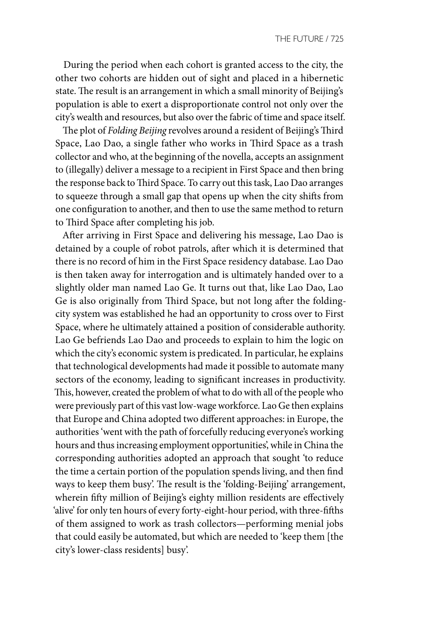During the period when each cohort is granted access to the city, the other two cohorts are hidden out of sight and placed in a hibernetic state. The result is an arrangement in which a small minority of Beijing's population is able to exert a disproportionate control not only over the city's wealth and resources, but also over the fabric of time and space itself.

The plot of *Folding Beijing* revolves around a resident of Beijing's Third Space, Lao Dao, a single father who works in Third Space as a trash collector and who, at the beginning of the novella, accepts an assignment to (illegally) deliver a message to a recipient in First Space and then bring the response back to Third Space. To carry out this task, Lao Dao arranges to squeeze through a small gap that opens up when the city shifts from one configuration to another, and then to use the same method to return to Third Space after completing his job.

After arriving in First Space and delivering his message, Lao Dao is detained by a couple of robot patrols, after which it is determined that there is no record of him in the First Space residency database. Lao Dao is then taken away for interrogation and is ultimately handed over to a slightly older man named Lao Ge. It turns out that, like Lao Dao, Lao Ge is also originally from Third Space, but not long after the foldingcity system was established he had an opportunity to cross over to First Space, where he ultimately attained a position of considerable authority. Lao Ge befriends Lao Dao and proceeds to explain to him the logic on which the city's economic system is predicated. In particular, he explains that technological developments had made it possible to automate many sectors of the economy, leading to significant increases in productivity. This, however, created the problem of what to do with all of the people who were previously part of this vast low-wage workforce. Lao Ge then explains that Europe and China adopted two different approaches: in Europe, the authorities 'went with the path of forcefully reducing everyone's working hours and thus increasing employment opportunities', while in China the corresponding authorities adopted an approach that sought 'to reduce the time a certain portion of the population spends living, and then find ways to keep them busy'. The result is the 'folding-Beijing' arrangement, wherein fifty million of Beijing's eighty million residents are effectively 'alive' for only ten hours of every forty-eight-hour period, with three-fifths of them assigned to work as trash collectors—performing menial jobs that could easily be automated, but which are needed to 'keep them [the city's lower-class residents] busy'.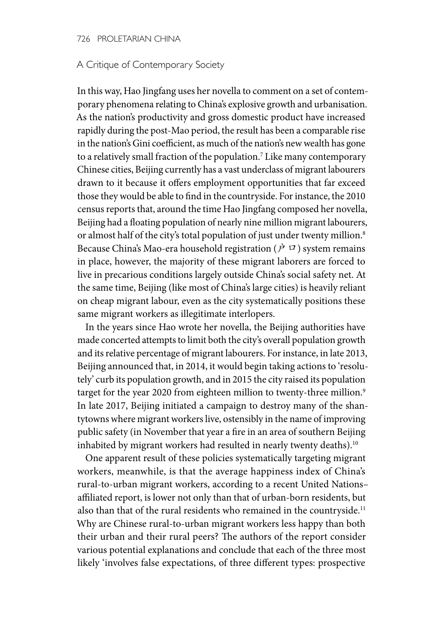#### 726 PROLETARIAN CHINA

#### A Critique of Contemporary Society

In this way, Hao Jingfang uses her novella to comment on a set of contemporary phenomena relating to China's explosive growth and urbanisation. As the nation's productivity and gross domestic product have increased rapidly during the post-Mao period, the result has been a comparable rise in the nation's Gini coefficient, as much of the nation's new wealth has gone to a relatively small fraction of the population.7 Like many contemporary Chinese cities, Beijing currently has a vast underclass of migrant labourers drawn to it because it offers employment opportunities that far exceed those they would be able to find in the countryside. For instance, the 2010 census reports that, around the time Hao Jingfang composed her novella, Beijing had a floating population of nearly nine million migrant labourers, or almost half of the city's total population of just under twenty million.<sup>8</sup> Because China's Mao-era household registration ( $\dot{P}$   $\Box$ ) system remains in place, however, the majority of these migrant laborers are forced to live in precarious conditions largely outside China's social safety net. At the same time, Beijing (like most of China's large cities) is heavily reliant on cheap migrant labour, even as the city systematically positions these same migrant workers as illegitimate interlopers.

In the years since Hao wrote her novella, the Beijing authorities have made concerted attempts to limit both the city's overall population growth and its relative percentage of migrant labourers. For instance, in late 2013, Beijing announced that, in 2014, it would begin taking actions to 'resolutely' curb its population growth, and in 2015 the city raised its population target for the year 2020 from eighteen million to twenty-three million.<sup>9</sup> In late 2017, Beijing initiated a campaign to destroy many of the shantytowns where migrant workers live, ostensibly in the name of improving public safety (in November that year a fire in an area of southern Beijing inhabited by migrant workers had resulted in nearly twenty deaths).<sup>10</sup>

One apparent result of these policies systematically targeting migrant workers, meanwhile, is that the average happiness index of China's rural-to-urban migrant workers, according to a recent United Nations– affiliated report, is lower not only than that of urban-born residents, but also than that of the rural residents who remained in the countryside.<sup>11</sup> Why are Chinese rural-to-urban migrant workers less happy than both their urban and their rural peers? The authors of the report consider various potential explanations and conclude that each of the three most likely 'involves false expectations, of three different types: prospective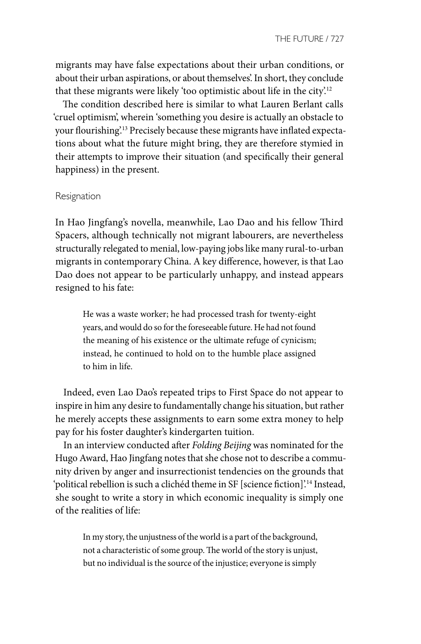migrants may have false expectations about their urban conditions, or about their urban aspirations, or about themselves'. In short, they conclude that these migrants were likely 'too optimistic about life in the city'.<sup>12</sup>

The condition described here is similar to what Lauren Berlant calls 'cruel optimism', wherein 'something you desire is actually an obstacle to your flourishing'.13 Precisely because these migrants have inflated expectations about what the future might bring, they are therefore stymied in their attempts to improve their situation (and specifically their general happiness) in the present.

#### Resignation

In Hao Jingfang's novella, meanwhile, Lao Dao and his fellow Third Spacers, although technically not migrant labourers, are nevertheless structurally relegated to menial, low-paying jobs like many rural-to-urban migrants in contemporary China. A key difference, however, is that Lao Dao does not appear to be particularly unhappy, and instead appears resigned to his fate:

He was a waste worker; he had processed trash for twenty-eight years, and would do so for the foreseeable future. He had not found the meaning of his existence or the ultimate refuge of cynicism; instead, he continued to hold on to the humble place assigned to him in life.

Indeed, even Lao Dao's repeated trips to First Space do not appear to inspire in him any desire to fundamentally change his situation, but rather he merely accepts these assignments to earn some extra money to help pay for his foster daughter's kindergarten tuition.

In an interview conducted after *Folding Beijing* was nominated for the Hugo Award, Hao Jingfang notes that she chose not to describe a community driven by anger and insurrectionist tendencies on the grounds that 'political rebellion is such a clichéd theme in SF [science fiction]'.14 Instead, she sought to write a story in which economic inequality is simply one of the realities of life:

> In my story, the unjustness of the world is a part of the background, not a characteristic of some group. The world of the story is unjust, but no individual is the source of the injustice; everyone is simply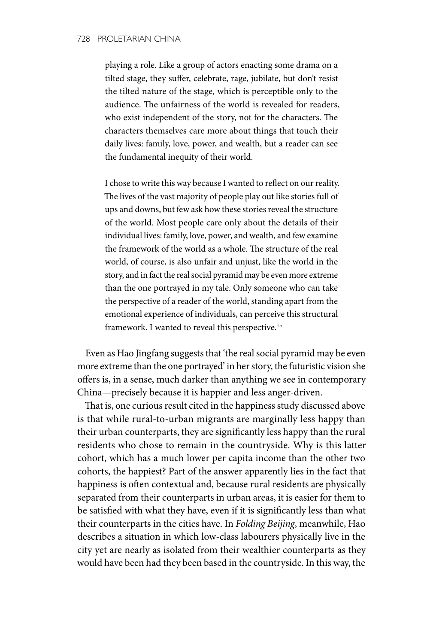playing a role. Like a group of actors enacting some drama on a tilted stage, they suffer, celebrate, rage, jubilate, but don't resist the tilted nature of the stage, which is perceptible only to the audience. The unfairness of the world is revealed for readers, who exist independent of the story, not for the characters. The characters themselves care more about things that touch their daily lives: family, love, power, and wealth, but a reader can see the fundamental inequity of their world.

I chose to write this way because I wanted to reflect on our reality. The lives of the vast majority of people play out like stories full of ups and downs, but few ask how these stories reveal the structure of the world. Most people care only about the details of their individual lives: family, love, power, and wealth, and few examine the framework of the world as a whole. The structure of the real world, of course, is also unfair and unjust, like the world in the story, and in fact the real social pyramid may be even more extreme than the one portrayed in my tale. Only someone who can take the perspective of a reader of the world, standing apart from the emotional experience of individuals, can perceive this structural framework. I wanted to reveal this perspective.<sup>15</sup>

Even as Hao Jingfang suggests that 'the real social pyramid may be even more extreme than the one portrayed' in her story, the futuristic vision she offers is, in a sense, much darker than anything we see in contemporary China—precisely because it is happier and less anger-driven.

That is, one curious result cited in the happiness study discussed above is that while rural-to-urban migrants are marginally less happy than their urban counterparts, they are significantly less happy than the rural residents who chose to remain in the countryside. Why is this latter cohort, which has a much lower per capita income than the other two cohorts, the happiest? Part of the answer apparently lies in the fact that happiness is often contextual and, because rural residents are physically separated from their counterparts in urban areas, it is easier for them to be satisfied with what they have, even if it is significantly less than what their counterparts in the cities have. In *Folding Beijing*, meanwhile, Hao describes a situation in which low-class labourers physically live in the city yet are nearly as isolated from their wealthier counterparts as they would have been had they been based in the countryside. In this way, the